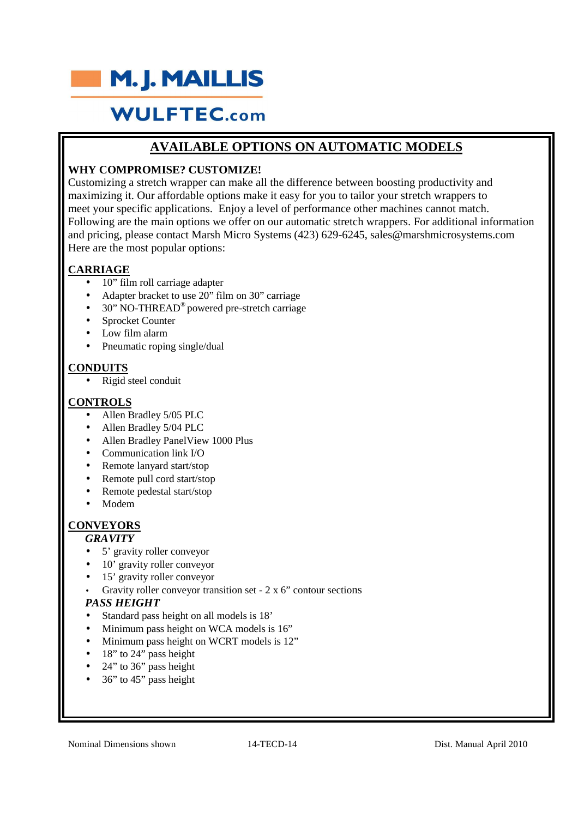

# **AVAILABLE OPTIONS ON AUTOMATIC MODELS**

# **WHY COMPROMISE? CUSTOMIZE!**

Customizing a stretch wrapper can make all the difference between boosting productivity and maximizing it. Our affordable options make it easy for you to tailor your stretch wrappers to meet your specific applications. Enjoy a level of performance other machines cannot match. Following are the main options we offer on our automatic stretch wrappers. For additional information and pricing, please contact Marsh Micro Systems (423) 629-6245, sales@marshmicrosystems.com Here are the most popular options:

# **CARRIAGE**

- 10" film roll carriage adapter
- Adapter bracket to use 20" film on 30" carriage
- 30" NO-THREAD® powered pre-stretch carriage
- Sprocket Counter
- Low film alarm
- Pneumatic roping single/dual

# **CONDUITS**

 $Rigid$  steel conduit

# **CONTROLS**

- Allen Bradley 5/05 PLC
- Allen Bradley 5/04 PLC
- Allen Bradley PanelView 1000 Plus
- Communication link I/O
- Remote lanyard start/stop
- Remote pull cord start/stop
- Remote pedestal start/stop
- Modem

# **CONVEYORS**

#### *GRAVITY*

- 5' gravity roller conveyor
- 10' gravity roller conveyor
- 15' gravity roller conveyor
- Gravity roller conveyor transition set 2 x 6" contour sections

#### *PASS HEIGHT*

- Standard pass height on all models is 18'
- Minimum pass height on WCA models is 16"
- Minimum pass height on WCRT models is 12"
- 18" to 24" pass height
- 24" to 36" pass height
- 36" to 45" pass height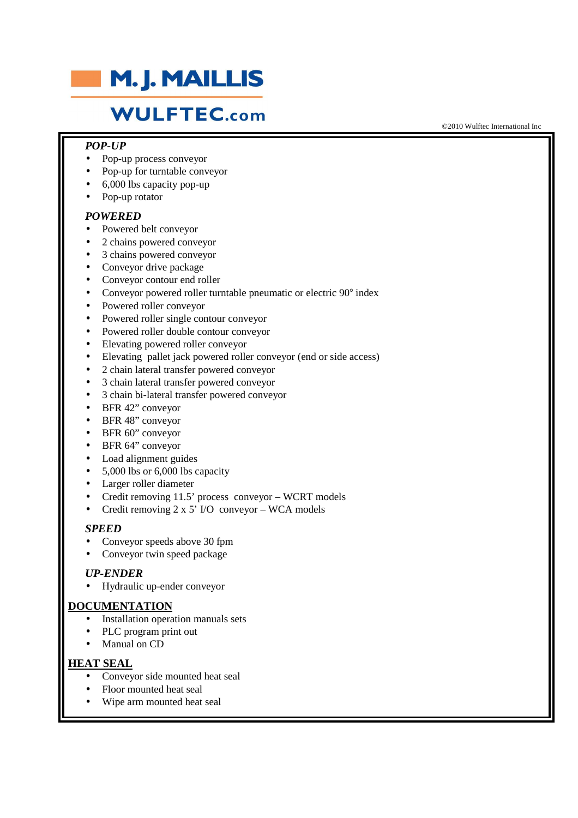

### *POP-UP*

- Pop-up process conveyor
- Pop-up for turntable conveyor
- 6,000 lbs capacity pop-up
- Pop-up rotator

#### *POWERED*

- Powered belt conveyor
- 2 chains powered conveyor
- 3 chains powered conveyor
- Conveyor drive package
- Conveyor contour end roller
- Conveyor powered roller turntable pneumatic or electric  $90^\circ$  index
- Powered roller conveyor
- Powered roller single contour conveyor
- Powered roller double contour conveyor
- Elevating powered roller conveyor
- Elevating pallet jack powered roller conveyor (end or side access)
- 2 chain lateral transfer powered conveyor
- 3 chain lateral transfer powered conveyor
- 3 chain bi-lateral transfer powered conveyor
- BFR 42" conveyor
- BFR 48" conveyor
- BFR 60" conveyor
- BFR 64" conveyor
- Load alignment guides
- 5,000 lbs or 6,000 lbs capacity
- Larger roller diameter
- Credit removing 11.5' process conveyor WCRT models
- Credit removing  $2 \times 5'$  I/O conveyor WCA models

#### *SPEED*

- Conveyor speeds above 30 fpm
- Conveyor twin speed package

#### *UP-ENDER*

• Hydraulic up-ender conveyor

#### **DOCUMENTATION**

- Installation operation manuals sets
- PLC program print out
- Manual on CD

#### **HEAT SEAL**

- Conveyor side mounted heat seal
- Floor mounted heat seal
- Wipe arm mounted heat seal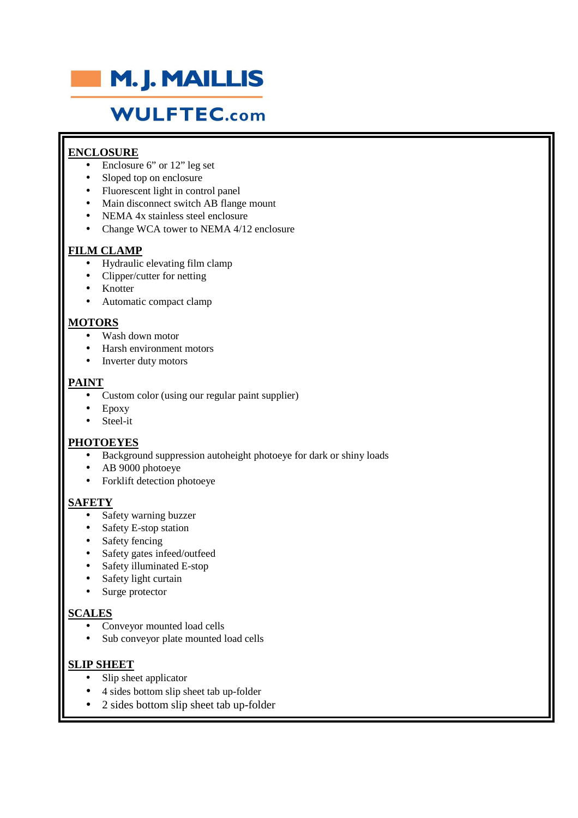

# **ENCLOSURE**

- Enclosure 6" or 12" leg set
- Sloped top on enclosure
- Fluorescent light in control panel
- Main disconnect switch AB flange mount
- NEMA 4x stainless steel enclosure
- Change WCA tower to NEMA 4/12 enclosure

# **FILM CLAMP**

- Hydraulic elevating film clamp
- Clipper/cutter for netting
- **Knotter**
- Automatic compact clamp

### **MOTORS**

- Wash down motor
- Harsh environment motors
- Inverter duty motors

### **PAINT**

- Custom color (using our regular paint supplier)
- Epoxy
- Steel-it

#### **PHOTOEYES**

- Background suppression autoheight photoeye for dark or shiny loads
- AB 9000 photoeye
- Forklift detection photoeye

# **SAFETY**

- Safety warning buzzer
- Safety E-stop station
- Safety fencing
- Safety gates infeed/outfeed
- Safety illuminated E-stop
- Safety light curtain
- Surge protector

# **SCALES**

- Conveyor mounted load cells
- Sub conveyor plate mounted load cells

# **SLIP SHEET**

- Slip sheet applicator
- 4 sides bottom slip sheet tab up-folder
- 2 sides bottom slip sheet tab up-folder